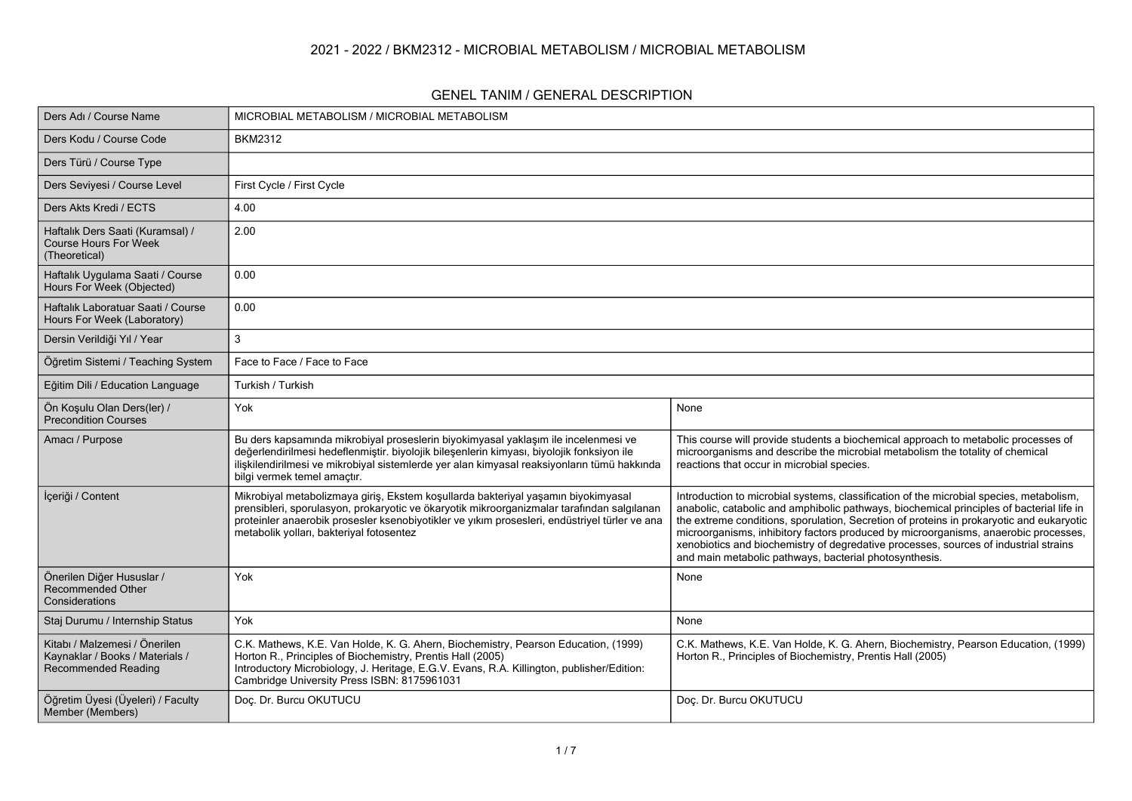### **2021 - 2022 / BKM2312 - MICROBIAL METABOLISM / MICROBIAL METABOLISM**

#### **GENEL TANIM / GENERAL DESCRIPTION**

| Ders Adı / Course Name                                                                         | MICROBIAL METABOLISM / MICROBIAL METABOLISM                                                                                                                                                                                                                                                                                  |                                                                                                                                                                                                                                                                                                                                                                                                                                                                                                                          |
|------------------------------------------------------------------------------------------------|------------------------------------------------------------------------------------------------------------------------------------------------------------------------------------------------------------------------------------------------------------------------------------------------------------------------------|--------------------------------------------------------------------------------------------------------------------------------------------------------------------------------------------------------------------------------------------------------------------------------------------------------------------------------------------------------------------------------------------------------------------------------------------------------------------------------------------------------------------------|
| Ders Kodu / Course Code                                                                        | <b>BKM2312</b>                                                                                                                                                                                                                                                                                                               |                                                                                                                                                                                                                                                                                                                                                                                                                                                                                                                          |
| Ders Türü / Course Type                                                                        |                                                                                                                                                                                                                                                                                                                              |                                                                                                                                                                                                                                                                                                                                                                                                                                                                                                                          |
| Ders Seviyesi / Course Level                                                                   | First Cycle / First Cycle                                                                                                                                                                                                                                                                                                    |                                                                                                                                                                                                                                                                                                                                                                                                                                                                                                                          |
| Ders Akts Kredi / ECTS                                                                         | 4.00                                                                                                                                                                                                                                                                                                                         |                                                                                                                                                                                                                                                                                                                                                                                                                                                                                                                          |
| Haftalık Ders Saati (Kuramsal) /<br><b>Course Hours For Week</b><br>(Theoretical)              | 2.00                                                                                                                                                                                                                                                                                                                         |                                                                                                                                                                                                                                                                                                                                                                                                                                                                                                                          |
| Haftalık Uygulama Saati / Course<br>Hours For Week (Objected)                                  | 0.00                                                                                                                                                                                                                                                                                                                         |                                                                                                                                                                                                                                                                                                                                                                                                                                                                                                                          |
| Haftalık Laboratuar Saati / Course<br>Hours For Week (Laboratory)                              | 0.00                                                                                                                                                                                                                                                                                                                         |                                                                                                                                                                                                                                                                                                                                                                                                                                                                                                                          |
| Dersin Verildiği Yıl / Year                                                                    | 3                                                                                                                                                                                                                                                                                                                            |                                                                                                                                                                                                                                                                                                                                                                                                                                                                                                                          |
| Öğretim Sistemi / Teaching System                                                              | Face to Face / Face to Face                                                                                                                                                                                                                                                                                                  |                                                                                                                                                                                                                                                                                                                                                                                                                                                                                                                          |
| Eğitim Dili / Education Language                                                               | Turkish / Turkish                                                                                                                                                                                                                                                                                                            |                                                                                                                                                                                                                                                                                                                                                                                                                                                                                                                          |
| Ön Koşulu Olan Ders(ler) /<br><b>Precondition Courses</b>                                      | Yok                                                                                                                                                                                                                                                                                                                          | None                                                                                                                                                                                                                                                                                                                                                                                                                                                                                                                     |
| Amacı / Purpose                                                                                | Bu ders kapsamında mikrobiyal proseslerin biyokimyasal yaklaşım ile incelenmesi ve<br>değerlendirilmesi hedeflenmiştir. biyolojik bileşenlerin kimyası, biyolojik fonksiyon ile<br>ilişkilendirilmesi ve mikrobiyal sistemlerde yer alan kimyasal reaksiyonların tümü hakkında<br>bilgi vermek temel amaçtır.                | This course will provide students a biochemical approach to metabolic processes of<br>microorganisms and describe the microbial metabolism the totality of chemical<br>reactions that occur in microbial species.                                                                                                                                                                                                                                                                                                        |
| İçeriği / Content                                                                              | Mikrobiyal metabolizmaya giriş, Ekstem koşullarda bakteriyal yaşamın biyokimyasal<br>prensibleri, sporulasyon, prokaryotic ve ökaryotik mikroorganizmalar tarafından salgılanan<br>proteinler anaerobik prosesler ksenobiyotikler ve yıkım prosesleri, endüstriyel türler ve ana<br>metabolik yolları, bakteriyal fotosentez | Introduction to microbial systems, classification of the microbial species, metabolism,<br>anabolic, catabolic and amphibolic pathways, biochemical principles of bacterial life in<br>the extreme conditions, sporulation, Secretion of proteins in prokaryotic and eukaryotic<br>microorganisms, inhibitory factors produced by microorganisms, anaerobic processes,<br>xenobiotics and biochemistry of degredative processes, sources of industrial strains<br>and main metabolic pathways, bacterial photosynthesis. |
| Önerilen Diğer Hususlar /<br>Recommended Other<br>Considerations                               | Yok                                                                                                                                                                                                                                                                                                                          | None                                                                                                                                                                                                                                                                                                                                                                                                                                                                                                                     |
| Staj Durumu / Internship Status                                                                | Yok                                                                                                                                                                                                                                                                                                                          | None                                                                                                                                                                                                                                                                                                                                                                                                                                                                                                                     |
| Kitabı / Malzemesi / Önerilen<br>Kaynaklar / Books / Materials /<br><b>Recommended Reading</b> | C.K. Mathews, K.E. Van Holde, K. G. Ahern, Biochemistry, Pearson Education, (1999)<br>Horton R., Principles of Biochemistry, Prentis Hall (2005)<br>Introductory Microbiology, J. Heritage, E.G.V. Evans, R.A. Killington, publisher/Edition:<br>Cambridge University Press ISBN: 8175961031                                 | C.K. Mathews, K.E. Van Holde, K. G. Ahern, Biochemistry, Pearson Education, (1999)<br>Horton R., Principles of Biochemistry, Prentis Hall (2005)                                                                                                                                                                                                                                                                                                                                                                         |
| Öğretim Üyesi (Üyeleri) / Faculty<br>Member (Members)                                          | Doc. Dr. Burcu OKUTUCU                                                                                                                                                                                                                                                                                                       | Doç. Dr. Burcu OKUTUCU                                                                                                                                                                                                                                                                                                                                                                                                                                                                                                   |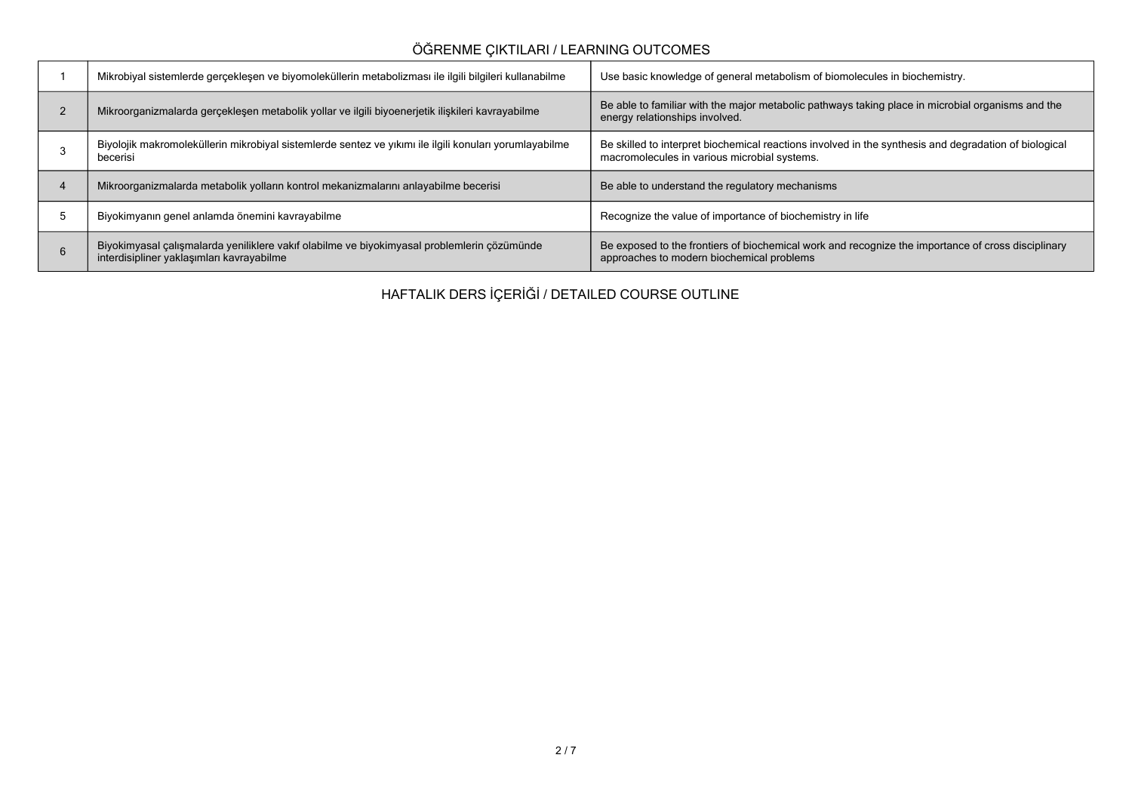# **ÖĞRENME ÇIKTILARI / LEARNING OUTCOMES**

| Mikrobiyal sistemlerde gerçekleşen ve biyomoleküllerin metabolizması ile ilgili bilgileri kullanabilme                                   | Use basic knowledge of general metabolism of biomolecules in biochemistry.                                                                            |
|------------------------------------------------------------------------------------------------------------------------------------------|-------------------------------------------------------------------------------------------------------------------------------------------------------|
| Mikroorganizmalarda gerçekleşen metabolik yollar ve ilgili biyoenerjetik ilişkileri kavrayabilme                                         | Be able to familiar with the major metabolic pathways taking place in microbial organisms and the<br>energy relationships involved.                   |
| Biyolojik makromoleküllerin mikrobiyal sistemlerde sentez ve yıkımı ile ilgili konuları yorumlayabilme<br>becerisi                       | Be skilled to interpret biochemical reactions involved in the synthesis and degradation of biological<br>macromolecules in various microbial systems. |
| Mikroorganizmalarda metabolik yolların kontrol mekanizmalarını anlayabilme becerisi                                                      | Be able to understand the regulatory mechanisms                                                                                                       |
| Biyokimyanın genel anlamda önemini kavrayabilme                                                                                          | Recognize the value of importance of biochemistry in life                                                                                             |
| Biyokimyasal çalışmalarda yeniliklere vakıf olabilme ve biyokimyasal problemlerin çözümünde<br>interdisipliner yaklaşımları kavrayabilme | Be exposed to the frontiers of biochemical work and recognize the importance of cross disciplinary<br>approaches to modern biochemical problems       |

**HAFTALIK DERS İÇERİĞİ / DETAILED COURSE OUTLINE**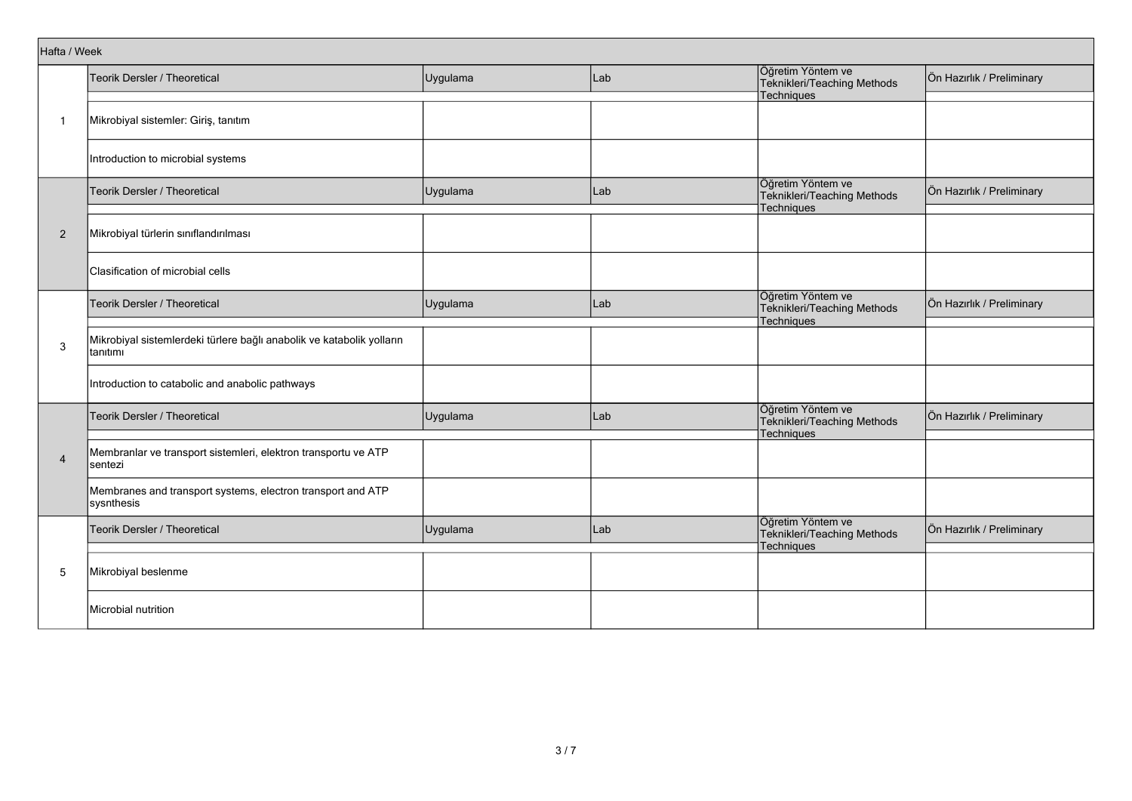|                | Hafta / Week                                                                      |          |     |                                                                |                           |  |  |  |  |
|----------------|-----------------------------------------------------------------------------------|----------|-----|----------------------------------------------------------------|---------------------------|--|--|--|--|
|                | Teorik Dersler / Theoretical                                                      | Uygulama | Lab | Öğretim Yöntem ve<br>Teknikleri/Teaching Methods               | Ön Hazırlık / Preliminary |  |  |  |  |
|                |                                                                                   |          |     | Techniques                                                     |                           |  |  |  |  |
| -1             | Mikrobiyal sistemler: Giriş, tanıtım                                              |          |     |                                                                |                           |  |  |  |  |
|                | Introduction to microbial systems                                                 |          |     |                                                                |                           |  |  |  |  |
|                | Teorik Dersler / Theoretical                                                      | Uygulama | Lab | Öğretim Yöntem ve<br>Teknikleri/Teaching Methods<br>Techniques | Ön Hazırlık / Preliminary |  |  |  |  |
| $\overline{2}$ | Mikrobiyal türlerin sınıflandırılması                                             |          |     |                                                                |                           |  |  |  |  |
|                | Clasification of microbial cells                                                  |          |     |                                                                |                           |  |  |  |  |
| 3              | Teorik Dersler / Theoretical                                                      | Uygulama | Lab | Öğretim Yöntem ve<br>Teknikleri/Teaching Methods<br>Techniques | Ön Hazırlık / Preliminary |  |  |  |  |
|                | Mikrobiyal sistemlerdeki türlere bağlı anabolik ve katabolik yolların<br>tanıtımı |          |     |                                                                |                           |  |  |  |  |
|                | Introduction to catabolic and anabolic pathways                                   |          |     |                                                                |                           |  |  |  |  |
|                | Teorik Dersler / Theoretical                                                      | Uygulama | Lab | Öğretim Yöntem ve<br>Teknikleri/Teaching Methods<br>Techniques | Ön Hazırlık / Preliminary |  |  |  |  |
| $\overline{4}$ | Membranlar ve transport sistemleri, elektron transportu ve ATP<br>sentezi         |          |     |                                                                |                           |  |  |  |  |
|                | Membranes and transport systems, electron transport and ATP<br>sysnthesis         |          |     |                                                                |                           |  |  |  |  |
|                | Teorik Dersler / Theoretical                                                      | Uygulama | Lab | Öğretim Yöntem ve<br>Teknikleri/Teaching Methods<br>Techniques | Ön Hazırlık / Preliminary |  |  |  |  |
| 5              | Mikrobiyal beslenme                                                               |          |     |                                                                |                           |  |  |  |  |
|                | Microbial nutrition                                                               |          |     |                                                                |                           |  |  |  |  |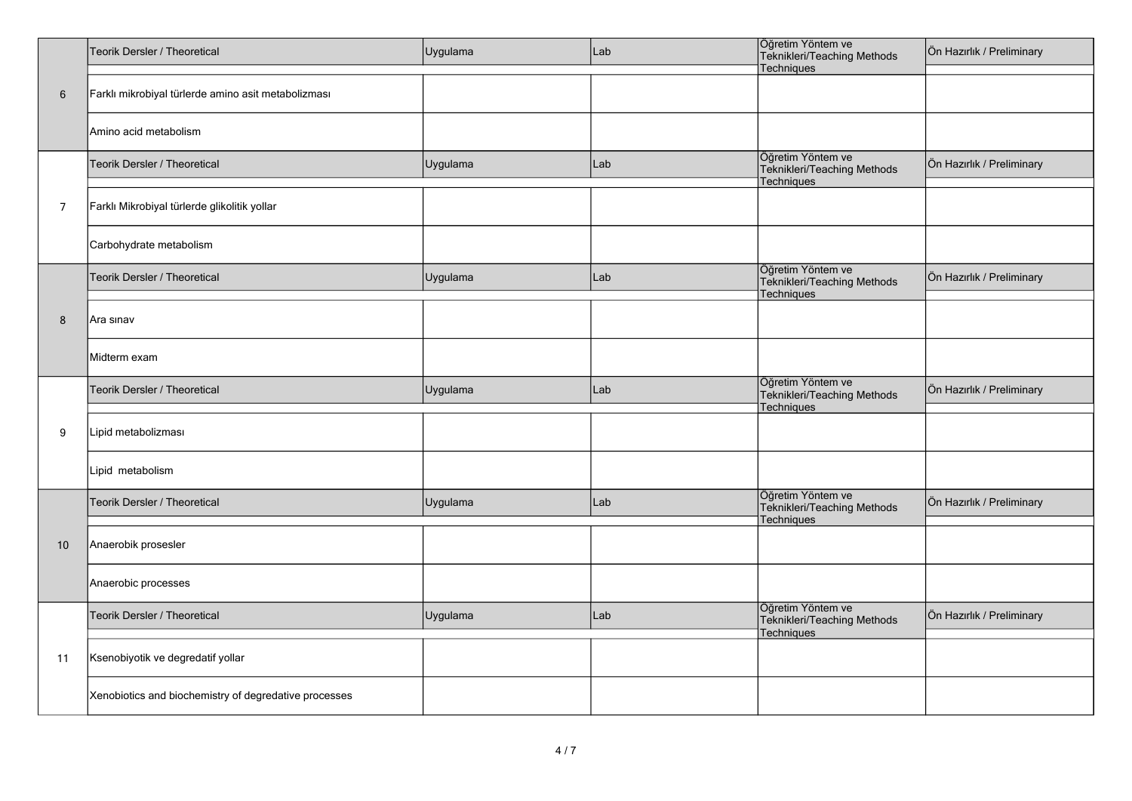|                | Teorik Dersler / Theoretical                          | Uygulama | Lab | Öğretim Yöntem ve<br>Teknikleri/Teaching Methods<br>Techniques        | Ön Hazırlık / Preliminary |  |  |
|----------------|-------------------------------------------------------|----------|-----|-----------------------------------------------------------------------|---------------------------|--|--|
| $6\,$          | Farklı mikrobiyal türlerde amino asit metabolizması   |          |     |                                                                       |                           |  |  |
|                | Amino acid metabolism                                 |          |     |                                                                       |                           |  |  |
|                | Teorik Dersler / Theoretical                          | Uygulama | Lab | Öğretim Yöntem ve<br>Teknikleri/Teaching Methods<br>Techniques        | Ön Hazırlık / Preliminary |  |  |
| $\overline{7}$ | Farklı Mikrobiyal türlerde glikolitik yollar          |          |     |                                                                       |                           |  |  |
|                | Carbohydrate metabolism                               |          |     |                                                                       |                           |  |  |
|                | Teorik Dersler / Theoretical                          | Uygulama | Lab | Öğretim Yöntem ve<br>Teknikleri/Teaching Methods<br>Techniques        | Ön Hazırlık / Preliminary |  |  |
| 8              | Ara sınav                                             |          |     |                                                                       |                           |  |  |
|                | Midterm exam                                          |          |     |                                                                       |                           |  |  |
|                | Teorik Dersler / Theoretical                          | Uygulama | Lab | Öğretim Yöntem ve<br>Teknikleri/Teaching Methods<br><b>Techniques</b> | Ön Hazırlık / Preliminary |  |  |
| 9              | Lipid metabolizması                                   |          |     |                                                                       |                           |  |  |
|                | Lipid metabolism                                      |          |     |                                                                       |                           |  |  |
|                | Teorik Dersler / Theoretical                          | Uygulama | Lab | Öğretim Yöntem ve<br>Teknikleri/Teaching Methods<br>Techniques        | Ön Hazırlık / Preliminary |  |  |
| 10             | Anaerobik prosesler                                   |          |     |                                                                       |                           |  |  |
|                | Anaerobic processes                                   |          |     |                                                                       |                           |  |  |
|                | Teorik Dersler / Theoretical                          | Uygulama | Lab | Öğretim Yöntem ve<br>Teknikleri/Teaching Methods<br>Techniques        | Ön Hazırlık / Preliminary |  |  |
| 11             | Ksenobiyotik ve degredatif yollar                     |          |     |                                                                       |                           |  |  |
|                | Xenobiotics and biochemistry of degredative processes |          |     |                                                                       |                           |  |  |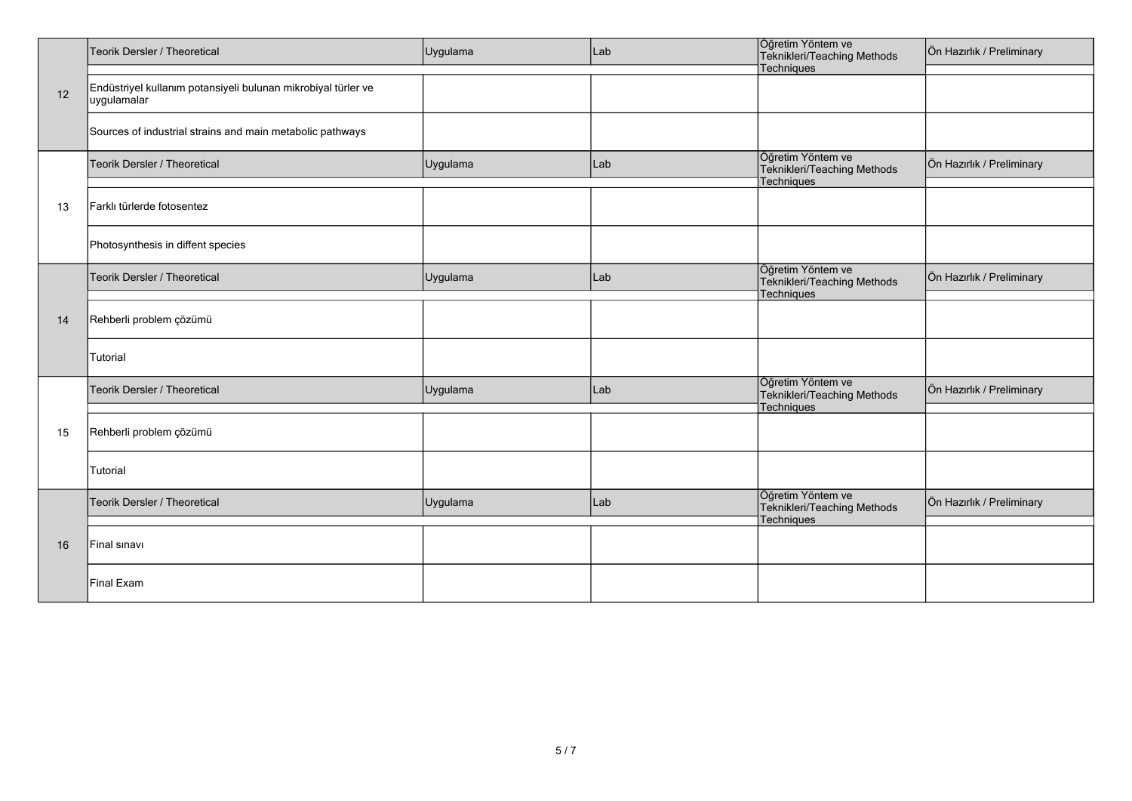|    | Teorik Dersler / Theoretical                                                 | Uygulama | Lab | Öğretim Yöntem ve<br>Teknikleri/Teaching Methods               | Ön Hazırlık / Preliminary |
|----|------------------------------------------------------------------------------|----------|-----|----------------------------------------------------------------|---------------------------|
| 12 | Endüstriyel kullanım potansiyeli bulunan mikrobiyal türler ve<br>uygulamalar |          |     | Techniques                                                     |                           |
|    | Sources of industrial strains and main metabolic pathways                    |          |     |                                                                |                           |
|    | Teorik Dersler / Theoretical                                                 | Uygulama | Lab | Öğretim Yöntem ve<br>Teknikleri/Teaching Methods<br>Techniques | Ön Hazırlık / Preliminary |
| 13 | Farklı türlerde fotosentez                                                   |          |     |                                                                |                           |
|    | Photosynthesis in diffent species                                            |          |     |                                                                |                           |
| 14 | Teorik Dersler / Theoretical                                                 | Uygulama | Lab | Öğretim Yöntem ve<br>Teknikleri/Teaching Methods<br>Techniques | Ön Hazırlık / Preliminary |
|    | Rehberli problem çözümü                                                      |          |     |                                                                |                           |
|    | Tutorial                                                                     |          |     |                                                                |                           |
|    | Teorik Dersler / Theoretical                                                 | Uygulama | Lab | Öğretim Yöntem ve<br>Teknikleri/Teaching Methods<br>Techniques | Ön Hazırlık / Preliminary |
| 15 | Rehberli problem çözümü                                                      |          |     |                                                                |                           |
|    | Tutorial                                                                     |          |     |                                                                |                           |
|    | Teorik Dersler / Theoretical                                                 | Uygulama | Lab | Öğretim Yöntem ve<br>Teknikleri/Teaching Methods<br>Techniques | Ön Hazırlık / Preliminary |
| 16 | Final sinavi                                                                 |          |     |                                                                |                           |
|    | Final Exam                                                                   |          |     |                                                                |                           |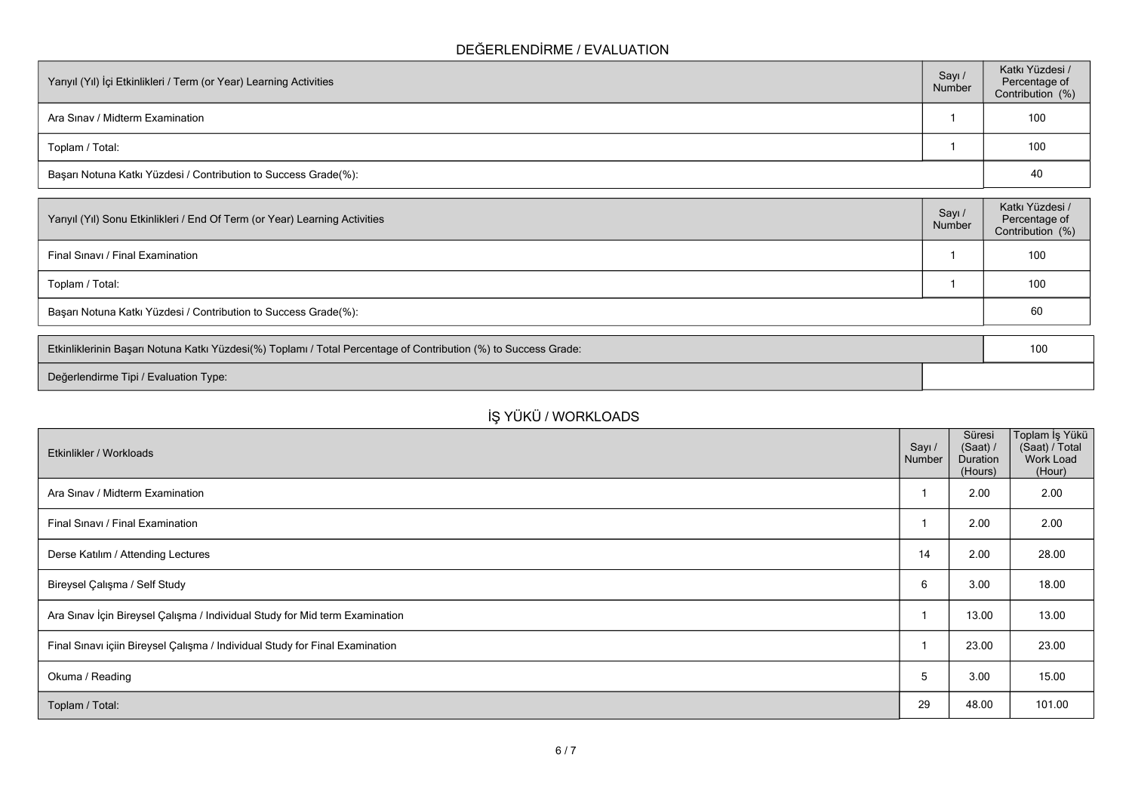## **DEĞERLENDİRME / EVALUATION**

| Yarıyıl (Yıl) İçi Etkinlikleri / Term (or Year) Learning Activities | Sayı /<br>Number | Katkı Yüzdesi /<br>Percentage of<br>Contribution (%) |  |  |
|---------------------------------------------------------------------|------------------|------------------------------------------------------|--|--|
| Ara Sinav / Midterm Examination                                     |                  | 100                                                  |  |  |
| Toplam / Total:                                                     |                  | 100                                                  |  |  |
| Başarı Notuna Katkı Yüzdesi / Contribution to Success Grade(%):     |                  |                                                      |  |  |

| Sayı /<br>Number                                                | Katkı Yüzdesi /<br>Percentage of<br>Contribution (%) |  |  |  |
|-----------------------------------------------------------------|------------------------------------------------------|--|--|--|
|                                                                 | 100                                                  |  |  |  |
|                                                                 | 100                                                  |  |  |  |
| Başarı Notuna Katkı Yüzdesi / Contribution to Success Grade(%): |                                                      |  |  |  |
|                                                                 |                                                      |  |  |  |

| Etkinliklerinin Başarı Notuna Katkı Yüzdesi(%) Toplamı / Total Percentage of Contribution (%) to Success Grade: |  |  |
|-----------------------------------------------------------------------------------------------------------------|--|--|
| Değerlendirme Tipi / Evaluation Type:                                                                           |  |  |

# **İŞ YÜKÜ / WORKLOADS**

| Etkinlikler / Workloads                                                      | Sayı /<br>Number | Süresi<br>(Saat) /<br>Duration<br>(Hours) | Toplam İş Yükü<br>(Saat) / Total<br>Work Load<br>(Hour) |
|------------------------------------------------------------------------------|------------------|-------------------------------------------|---------------------------------------------------------|
| Ara Sinav / Midterm Examination                                              |                  | 2.00                                      | 2.00                                                    |
| Final Sinavi / Final Examination                                             |                  | 2.00                                      | 2.00                                                    |
| Derse Katılım / Attending Lectures                                           | 14               | 2.00                                      | 28.00                                                   |
| Bireysel Çalışma / Self Study                                                | 6                | 3.00                                      | 18.00                                                   |
| Ara Sınav İçin Bireysel Çalışma / Individual Study for Mid term Examination  |                  | 13.00                                     | 13.00                                                   |
| Final Sınavı içiin Bireysel Çalışma / Individual Study for Final Examination |                  | 23.00                                     | 23.00                                                   |
| Okuma / Reading                                                              | 5                | 3.00                                      | 15.00                                                   |
| Toplam / Total:                                                              | 29               | 48.00                                     | 101.00                                                  |